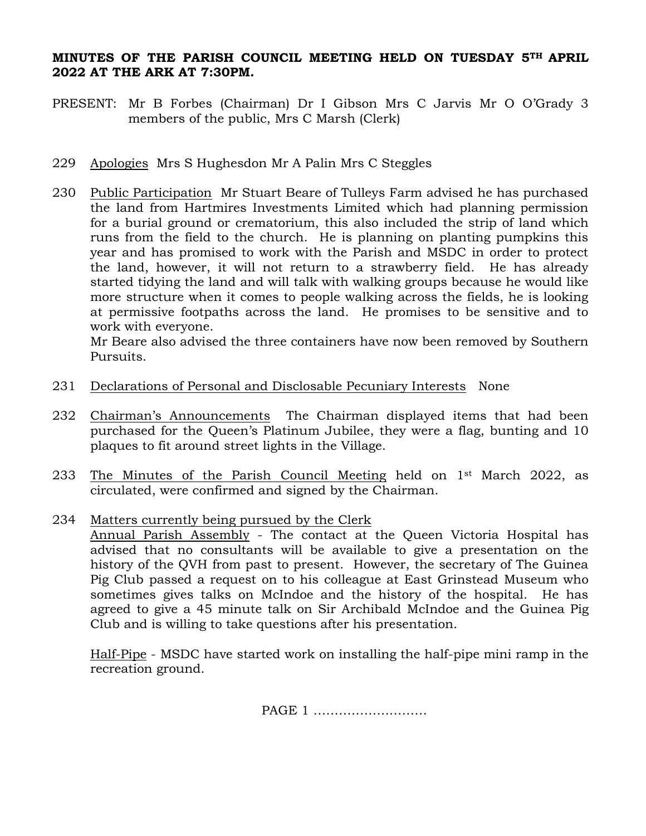## **MINUTES OF THE PARISH COUNCIL MEETING HELD ON TUESDAY 5TH APRIL 2022 AT THE ARK AT 7:30PM.**

- PRESENT: Mr B Forbes (Chairman) Dr I Gibson Mrs C Jarvis Mr O O'Grady 3 members of the public, Mrs C Marsh (Clerk)
- 229 Apologies Mrs S Hughesdon Mr A Palin Mrs C Steggles
- 230 Public Participation Mr Stuart Beare of Tulleys Farm advised he has purchased the land from Hartmires Investments Limited which had planning permission for a burial ground or crematorium, this also included the strip of land which runs from the field to the church. He is planning on planting pumpkins this year and has promised to work with the Parish and MSDC in order to protect the land, however, it will not return to a strawberry field. He has already started tidying the land and will talk with walking groups because he would like more structure when it comes to people walking across the fields, he is looking at permissive footpaths across the land. He promises to be sensitive and to work with everyone.

Mr Beare also advised the three containers have now been removed by Southern Pursuits.

- 231 Declarations of Personal and Disclosable Pecuniary Interests None
- 232 Chairman's Announcements The Chairman displayed items that had been purchased for the Queen's Platinum Jubilee, they were a flag, bunting and 10 plaques to fit around street lights in the Village.
- 233 The Minutes of the Parish Council Meeting held on 1st March 2022, as circulated, were confirmed and signed by the Chairman.
- 234 Matters currently being pursued by the Clerk Annual Parish Assembly - The contact at the Queen Victoria Hospital has advised that no consultants will be available to give a presentation on the history of the QVH from past to present. However, the secretary of The Guinea Pig Club passed a request on to his colleague at East Grinstead Museum who sometimes gives talks on McIndoe and the history of the hospital. He has agreed to give a 45 minute talk on Sir Archibald McIndoe and the Guinea Pig Club and is willing to take questions after his presentation.

Half-Pipe - MSDC have started work on installing the half-pipe mini ramp in the recreation ground.

PAGE 1 ………………………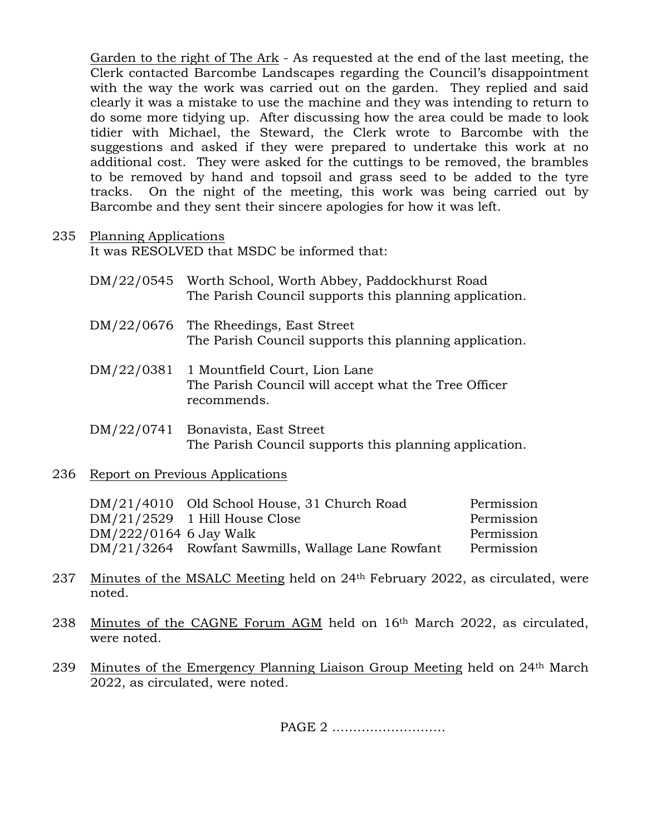Garden to the right of The Ark - As requested at the end of the last meeting, the Clerk contacted Barcombe Landscapes regarding the Council's disappointment with the way the work was carried out on the garden. They replied and said clearly it was a mistake to use the machine and they was intending to return to do some more tidying up. After discussing how the area could be made to look tidier with Michael, the Steward, the Clerk wrote to Barcombe with the suggestions and asked if they were prepared to undertake this work at no additional cost. They were asked for the cuttings to be removed, the brambles to be removed by hand and topsoil and grass seed to be added to the tyre tracks. On the night of the meeting, this work was being carried out by Barcombe and they sent their sincere apologies for how it was left.

## 235 Planning Applications

It was RESOLVED that MSDC be informed that:

| DM/22/0545 Worth School, Worth Abbey, Paddockhurst Road |
|---------------------------------------------------------|
| The Parish Council supports this planning application.  |

- DM/22/0676 The Rheedings, East Street The Parish Council supports this planning application.
- DM/22/0381 1 Mountfield Court, Lion Lane The Parish Council will accept what the Tree Officer recommends.
- DM/22/0741 Bonavista, East Street The Parish Council supports this planning application.

## 236 Report on Previous Applications

|                        | DM/21/4010 Old School House, 31 Church Road       | Permission |
|------------------------|---------------------------------------------------|------------|
|                        | $DM/21/2529$ 1 Hill House Close                   | Permission |
| DM/222/0164 6 Jay Walk |                                                   | Permission |
|                        | DM/21/3264 Rowfant Sawmills, Wallage Lane Rowfant | Permission |

- 237 Minutes of the MSALC Meeting held on 24th February 2022, as circulated, were noted.
- 238 Minutes of the CAGNE Forum AGM held on 16th March 2022, as circulated, were noted.
- 239 Minutes of the Emergency Planning Liaison Group Meeting held on 24th March 2022, as circulated, were noted.

PAGE 2 ………………………